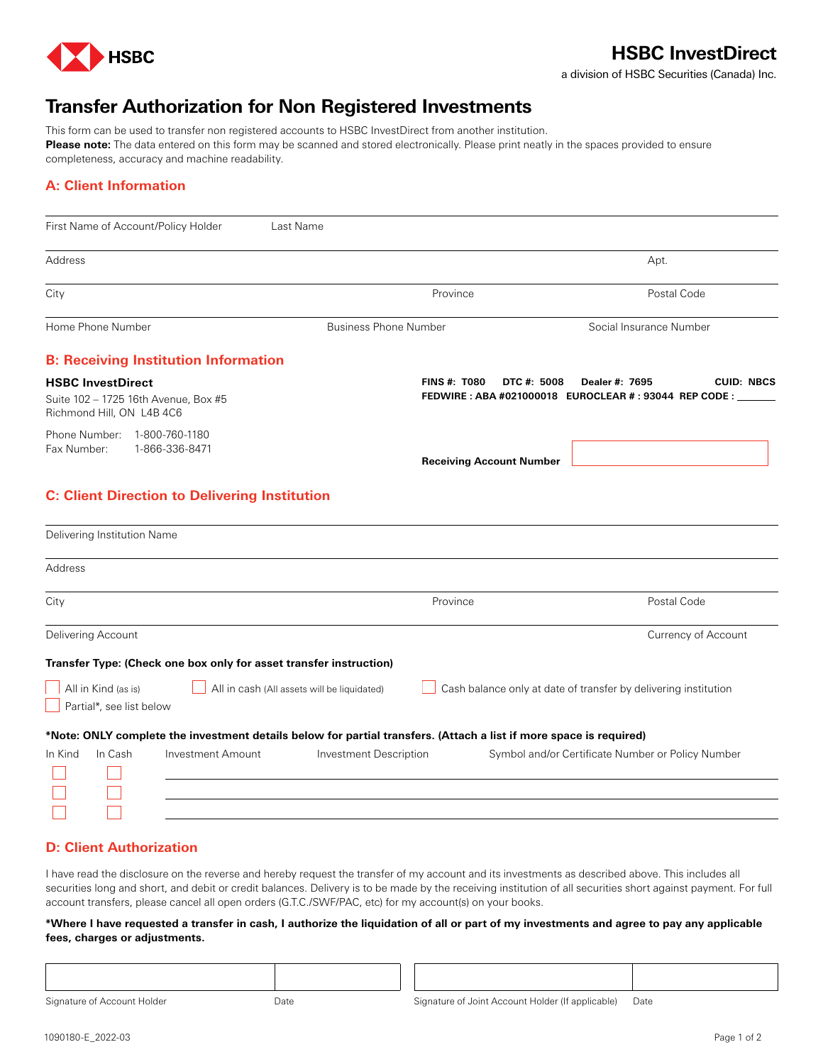

## **HSBC InvestDirect**

a division of HSBC Securities (Canada) Inc.

# **Transfer Authorization for Non Registered Investments**

This form can be used to transfer non registered accounts to HSBC InvestDirect from another institution. **Please note:** The data entered on this form may be scanned and stored electronically. Please print neatly in the spaces provided to ensure completeness, accuracy and machine readability.

## **A: Client Information**

| First Name of Account/Policy Holder                                                           | Last Name                                                                                                          |                                                                                                            |
|-----------------------------------------------------------------------------------------------|--------------------------------------------------------------------------------------------------------------------|------------------------------------------------------------------------------------------------------------|
| Address                                                                                       |                                                                                                                    | Apt.                                                                                                       |
| City                                                                                          | Province                                                                                                           | Postal Code                                                                                                |
| Home Phone Number                                                                             | <b>Business Phone Number</b>                                                                                       | Social Insurance Number                                                                                    |
| <b>B: Receiving Institution Information</b>                                                   |                                                                                                                    |                                                                                                            |
| <b>HSBC InvestDirect</b><br>Suite 102 - 1725 16th Avenue, Box #5<br>Richmond Hill, ON L4B 4C6 | <b>FINS #: T080</b>                                                                                                | DTC #: 5008<br><b>CUID: NBCS</b><br>Dealer #: 7695<br>FEDWIRE: ABA #021000018 EUROCLEAR #: 93044 REP CODE: |
| Phone Number: 1-800-760-1180<br>1-866-336-8471<br>Fax Number:                                 | <b>Receiving Account Number</b>                                                                                    |                                                                                                            |
| <b>C: Client Direction to Delivering Institution</b>                                          |                                                                                                                    |                                                                                                            |
| Delivering Institution Name                                                                   |                                                                                                                    |                                                                                                            |
| Address                                                                                       |                                                                                                                    |                                                                                                            |
| City                                                                                          | Province                                                                                                           | Postal Code                                                                                                |
| Delivering Account                                                                            |                                                                                                                    | Currency of Account                                                                                        |
| Transfer Type: (Check one box only for asset transfer instruction)                            |                                                                                                                    |                                                                                                            |
| All in Kind (as is)<br>Partial*, see list below                                               | All in cash (All assets will be liquidated)                                                                        | Cash balance only at date of transfer by delivering institution                                            |
|                                                                                               | *Note: ONLY complete the investment details below for partial transfers. (Attach a list if more space is required) |                                                                                                            |
| In Cash<br>Investment Amount<br>In Kind                                                       | <b>Investment Description</b>                                                                                      | Symbol and/or Certificate Number or Policy Number                                                          |

### **D: Client Authorization**

I have read the disclosure on the reverse and hereby request the transfer of my account and its investments as described above. This includes all securities long and short, and debit or credit balances. Delivery is to be made by the receiving institution of all securities short against payment. For full account transfers, please cancel all open orders (G.T.C./SWF/PAC, etc) for my account(s) on your books.

#### **\*Where I have requested a transfer in cash, I authorize the liquidation of all or part of my investments and agree to pay any applicable fees, charges or adjustments.**

Signature of Account Holder **Date** Date Signature of Joint Account Holder (If applicable) Date